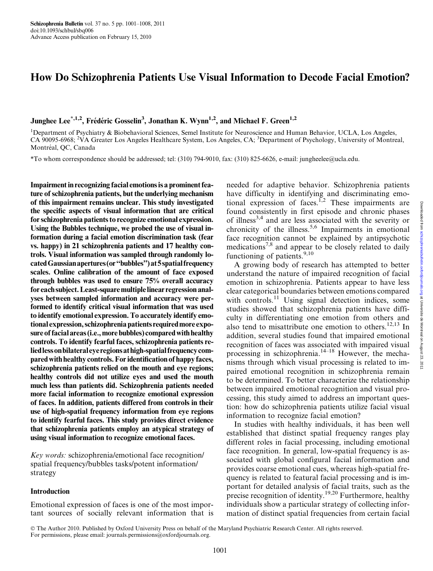# How Do Schizophrenia Patients Use Visual Information to Decode Facial Emotion?

Junghee Lee<sup>\*,1,2</sup>, Frédéric Gosselin<sup>3</sup>, Jonathan K. Wynn<sup>1,2</sup>, and Michael F. Green<sup>1,2</sup>

<sup>1</sup>Department of Psychiatry & Biobehavioral Sciences, Semel Institute for Neuroscience and Human Behavior, UCLA, Los Angeles, CA 90095-6968; <sup>2</sup>VA Greater Los Angeles Healthcare System, Los Angeles, CA; <sup>3</sup>Department of Psychology, University of Montreal, Montréal, QC, Canada

\*To whom correspondence should be addressed; tel: (310) 794-9010, fax: (310) 825-6626, e-mail: jungheelee@ucla.edu.

Impairment in recognizing facial emotions is a prominent feature of schizophrenia patients, but the underlying mechanism of this impairment remains unclear. This study investigated the specific aspects of visual information that are critical for schizophrenia patients to recognize emotional expression. Using the Bubbles technique, we probed the use of visual information during a facial emotion discrimination task (fear vs. happy) in 21 schizophrenia patients and 17 healthy controls. Visual information was sampled through randomly located Gaussian apertures (or "bubbles") at 5 spatial frequency scales. Online calibration of the amount of face exposed through bubbles was used to ensure 75% overall accuracy foreach subject. Least-square multiplelinear regression analyses between sampled information and accuracy were performed to identify critical visual information that was used to identify emotional expression. To accurately identify emotional expression, schizophrenia patients required more exposure of facial areas (i.e., more bubbles) compared with healthy controls. To identify fearful faces, schizophrenia patients reliedlessonbilateraleyeregionsathigh-spatialfrequencycompared with healthy controls. For identification of happy faces, schizophrenia patients relied on the mouth and eye regions; healthy controls did not utilize eyes and used the mouth much less than patients did. Schizophrenia patients needed more facial information to recognize emotional expression of faces. In addition, patients differed from controls in their use of high-spatial frequency information from eye regions to identify fearful faces. This study provides direct evidence that schizophrenia patients employ an atypical strategy of using visual information to recognize emotional faces.

Key words: schizophrenia/emotional face recognition/ spatial frequency/bubbles tasks/potent information/ strategy

### Introduction

Emotional expression of faces is one of the most important sources of socially relevant information that is

needed for adaptive behavior. Schizophrenia patients have difficulty in identifying and discriminating emotional expression of faces.<sup>1,2</sup> These impairments are found consistently in first episode and chronic phases of illness3,4 and are less associated with the severity or chronicity of the illness.<sup>5,6</sup> Impairments in emotional face recognition cannot be explained by antipsychotic medications<sup>7,8</sup> and appear to be closely related to daily functioning of patients.<sup>9,10</sup>

A growing body of research has attempted to better understand the nature of impaired recognition of facial emotion in schizophrenia. Patients appear to have less clear categorical boundaries between emotions compared with controls.<sup>11</sup> Using signal detection indices, some studies showed that schizophrenia patients have difficulty in differentiating one emotion from others and also tend to misattribute one emotion to others.<sup>12,13</sup> In addition, several studies found that impaired emotional recognition of faces was associated with impaired visual processing in schizophrenia.14–18 However, the mechanisms through which visual processing is related to impaired emotional recognition in schizophrenia remain to be determined. To better characterize the relationship between impaired emotional recognition and visual processing, this study aimed to address an important question: how do schizophrenia patients utilize facial visual information to recognize facial emotion?

In studies with healthy individuals, it has been well established that distinct spatial frequency ranges play different roles in facial processing, including emotional face recognition. In general, low-spatial frequency is associated with global configural facial information and provides coarse emotional cues, whereas high-spatial frequency is related to featural facial processing and is important for detailed analysis of facial traits, such as the precise recognition of identity.<sup>19,20</sup> Furthermore, healthy individuals show a particular strategy of collecting information of distinct spatial frequencies from certain facial

 The Author 2010. Published by Oxford University Press on behalf of the Maryland Psychiatric Research Center. All rights reserved. For permissions, please email: journals.permissions@oxfordjournals.org.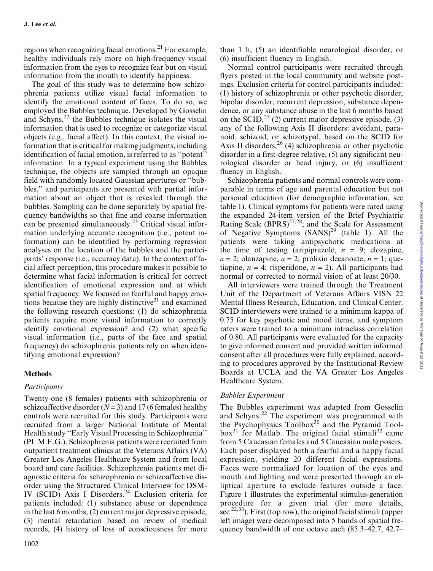regions when recognizing facial emotions.<sup>21</sup> For example, healthy individuals rely more on high-frequency visual information from the eyes to recognize fear but on visual information from the mouth to identify happiness.

The goal of this study was to determine how schizophrenia patients utilize visual facial information to identify the emotional content of faces. To do so, we employed the Bubbles technique. Developed by Gosselin and Schyns, $^{22}$  the Bubbles technique isolates the visual information that is used to recognize or categorize visual objects (e.g., facial affect). In this context, the visual information that is critical for making judgments, including identification of facial emotion, is referred to as ''potent'' information. In a typical experiment using the Bubbles technique, the objects are sampled through an opaque field with randomly located Gaussian apertures or ''bubbles,'' and participants are presented with partial information about an object that is revealed through the bubbles. Sampling can be done separately by spatial frequency bandwidths so that fine and coarse information can be presented simultaneously.<sup>23</sup> Critical visual information underlying accurate recognition (i.e., potent information) can be identified by performing regression analyses on the location of the bubbles and the participants' response (i.e., accuracy data). In the context of facial affect perception, this procedure makes it possible to determine what facial information is critical for correct identification of emotional expression and at which spatial frequency. We focused on fearful and happy emotions because they are highly distinctive<sup>21</sup> and examined the following research questions: (1) do schizophrenia patients require more visual information to correctly identify emotional expression? and (2) what specific visual information (i.e., parts of the face and spatial frequency) do schizophrenia patients rely on when identifying emotional expression?

## Methods

## Participants

Twenty-one (8 females) patients with schizophrenia or schizoaffective disorder  $(N = 3)$  and 17 (6 females) healthy controls were recruited for this study. Participants were recruited from a larger National Institute of Mental Health study ''Early Visual Processing in Schizophrenia'' (PI: M.F.G.). Schizophrenia patients were recruited from outpatient treatment clinics at the Veterans Affairs (VA) Greater Los Angeles Healthcare System and from local board and care facilities. Schizophrenia patients met diagnostic criteria for schizophrenia or schizoaffective disorder using the Structured Clinical Interview for DSM-IV (SCID) Axis I Disorders.<sup>24</sup> Exclusion criteria for patients included: (1) substance abuse or dependence in the last 6 months, (2) current major depressive episode, (3) mental retardation based on review of medical records, (4) history of loss of consciousness for more than 1 h, (5) an identifiable neurological disorder, or (6) insufficient fluency in English.

Normal control participants were recruited through flyers posted in the local community and website postings. Exclusion criteria for control participants included: (1) history of schizophrenia or other psychotic disorder, bipolar disorder, recurrent depression, substance dependence, or any substance abuse in the last 6 months based on the SCID,<sup>25</sup> (2) current major depressive episode, (3) any of the following Axis II disorders: avoidant, paranoid, schizoid, or schizotypal, based on the SCID for Axis II disorders,  $^{26}$  (4) schizophrenia or other psychotic disorder in a first-degree relative, (5) any significant neurological disorder or head injury, or (6) insufficient fluency in English.

Schizophrenia patients and normal controls were comparable in terms of age and parental education but not personal education (for demographic information, see table 1). Clinical symptoms for patients were rated using the expanded 24-item version of the Brief Psychiatric Rating Scale  $(BPRS)^{27,28}$ ; and the Scale for Assessment of Negative Symptoms  $(SANS)^{29}$  (table 1). All the patients were taking antipsychotic medications at the time of testing (aripiprazole,  $n = 9$ ; clozapine,  $n = 2$ ; olanzapine,  $n = 2$ ; prolixin decanoate,  $n = 1$ ; quetiapine,  $n = 4$ ; risperidone,  $n = 2$ ). All participants had normal or corrected to normal vision of at least 20/30.

All interviewers were trained through the Treatment Unit of the Department of Veterans Affairs VISN 22 Mental Illness Research, Education, and Clinical Center. SCID interviewers were trained to a minimum kappa of 0.75 for key psychotic and mood items, and symptom raters were trained to a minimum intraclass correlation of 0.80. All participants were evaluated for the capacity to give informed consent and provided written informed consent after all procedures were fully explained, according to procedures approved by the Institutional Review Boards at UCLA and the VA Greater Los Angeles Healthcare System.

## Bubbles Experiment

The Bubbles experiment was adapted from Gosselin and Schyns.<sup>22</sup> The experiment was programmed with the Psychophysics Toolbox<sup>30</sup> and the Pyramid Tool $b\alpha^{31}$  for Matlab. The original facial stimuli<sup>32</sup> came from 5 Caucasian females and 5 Caucasian male posers. Each poser displayed both a fearful and a happy facial expression, yielding 20 different facial expressions. Faces were normalized for location of the eyes and mouth and lighting and were presented through an elliptical aperture to exclude features outside a face. Figure 1 illustrates the experimental stimulus-generation procedure for a given trial (for more details, see  $^{22,33}$ ). First (top row), the original facial stimuli (upper left image) were decomposed into 5 bands of spatial frequency bandwidth of one octave each (85.3–42.7, 42.7–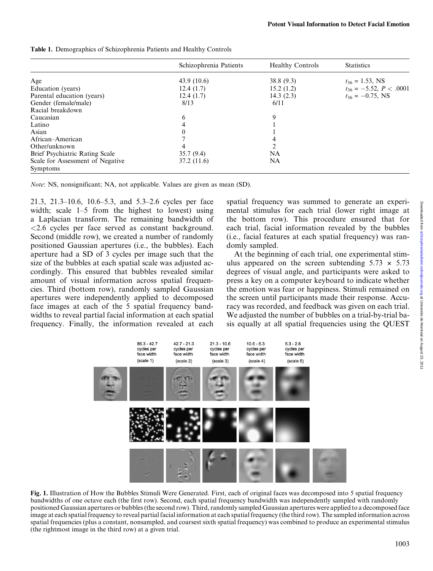|                                              | Schizophrenia Patients | <b>Healthy Controls</b> | <b>Statistics</b>           |
|----------------------------------------------|------------------------|-------------------------|-----------------------------|
| Age                                          | 43.9 $(10.6)$          | 38.8(9.3)               | $t_{36} = 1.53$ , NS        |
| Education (years)                            | 12.4(1.7)              | 15.2(1.2)               | $t_{36} = -5.52, P < .0001$ |
| Parental education (years)                   | 12.4(1.7)              | 14.3(2.3)               | $t_{36} = -0.75$ , NS       |
| Gender (female/male)                         | 8/13                   | 6/11                    |                             |
| Racial breakdown                             |                        |                         |                             |
| Caucasian                                    | 6                      | 9                       |                             |
| Latino                                       |                        |                         |                             |
| Asian                                        | 0                      |                         |                             |
| African–American                             |                        |                         |                             |
| Other/unknown                                | 4                      |                         |                             |
| Brief Psychiatric Rating Scale               | 35.7(9.4)              | NA                      |                             |
| Scale for Assessment of Negative<br>Symptoms | 37.2(11.6)             | NA                      |                             |

Table 1. Demographics of Schizophrenia Patients and Healthy Controls

Note: NS, nonsignificant; NA, not applicable. Values are given as mean (SD).

21.3, 21.3–10.6, 10.6–5.3, and 5.3–2.6 cycles per face width; scale 1–5 from the highest to lowest) using a Laplacian transform. The remaining bandwidth of <2.6 cycles per face served as constant background. Second (middle row), we created a number of randomly positioned Gaussian apertures (i.e., the bubbles). Each aperture had a SD of 3 cycles per image such that the size of the bubbles at each spatial scale was adjusted accordingly. This ensured that bubbles revealed similar amount of visual information across spatial frequencies. Third (bottom row), randomly sampled Gaussian apertures were independently applied to decomposed face images at each of the 5 spatial frequency bandwidths to reveal partial facial information at each spatial frequency. Finally, the information revealed at each spatial frequency was summed to generate an experimental stimulus for each trial (lower right image at the bottom row). This procedure ensured that for each trial, facial information revealed by the bubbles (i.e., facial features at each spatial frequency) was randomly sampled.

At the beginning of each trial, one experimental stimulus appeared on the screen subtending  $5.73 \times 5.73$ degrees of visual angle, and participants were asked to press a key on a computer keyboard to indicate whether the emotion was fear or happiness. Stimuli remained on the screen until participants made their response. Accuracy was recorded, and feedback was given on each trial. We adjusted the number of bubbles on a trial-by-trial basis equally at all spatial frequencies using the QUEST



Fig. 1. Illustration of How the Bubbles Stimuli Were Generated. First, each of original faces was decomposed into 5 spatial frequency bandwidths of one octave each (the first row). Second, each spatial frequency bandwidth was independently sampled with randomly positioned Gaussian apertures or bubbles (the second row). Third, randomly sampled Gaussian apertures were applied to a decomposed face image at each spatial frequency to reveal partial facial information at each spatial frequency (the third row). The sampled information across spatial frequencies (plus a constant, nonsampled, and coarsest sixth spatial frequency) was combined to produce an experimental stimulus (the rightmost image in the third row) at a given trial.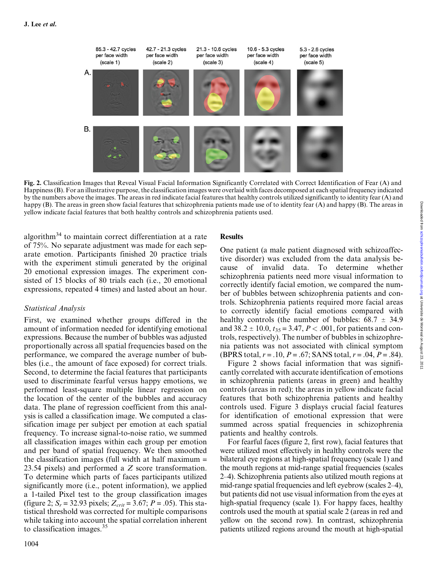

Fig. 2. Classification Images that Reveal Visual Facial Information Significantly Correlated with Correct Identification of Fear (A) and Happiness (B). For an illustrative purpose, the classification images were overlaid with faces decomposed at each spatial frequency indicated by the numbers above the images. The areas in red indicate facial features that healthy controls utilized significantly to identity fear (A) and happy (B). The areas in green show facial features that schizophrenia patients made use of to identity fear (A) and happy (B). The areas in yellow indicate facial features that both healthy controls and schizophrenia patients used.

algorithm<sup>34</sup> to maintain correct differentiation at a rate of 75%. No separate adjustment was made for each separate emotion. Participants finished 20 practice trials with the experiment stimuli generated by the original 20 emotional expression images. The experiment consisted of 15 blocks of 80 trials each (i.e., 20 emotional expressions, repeated 4 times) and lasted about an hour.

## Statistical Analysis

First, we examined whether groups differed in the amount of information needed for identifying emotional expressions. Because the number of bubbles was adjusted proportionally across all spatial frequencies based on the performance, we compared the average number of bubbles (i.e., the amount of face exposed) for correct trials. Second, to determine the facial features that participants used to discriminate fearful versus happy emotions, we performed least-square multiple linear regression on the location of the center of the bubbles and accuracy data. The plane of regression coefficient from this analysis is called a classification image. We computed a classification image per subject per emotion at each spatial frequency. To increase signal-to-noise ratio, we summed all classification images within each group per emotion and per band of spatial frequency. We then smoothed the classification images (full width at half maximum = 23.54 pixels) and performed a Z score transformation. To determine which parts of faces participants utilized significantly more (i.e., potent information), we applied a 1-tailed Pixel test to the group classification images (figure 2;  $S_r = 32.93$  pixels;  $Z_{crit} = 3.67$ ;  $P = .05$ ). This statistical threshold was corrected for multiple comparisons while taking into account the spatial correlation inherent to classification images. $35$ 

## Results

One patient (a male patient diagnosed with schizoaffective disorder) was excluded from the data analysis because of invalid data. To determine whether schizophrenia patients need more visual information to correctly identify facial emotion, we compared the number of bubbles between schizophrenia patients and controls. Schizophrenia patients required more facial areas to correctly identify facial emotions compared with healthy controls (the number of bubbles:  $68.7 \pm 34.9$ and  $38.2 \pm 10.0$ ,  $t_{35} = 3.47$ ,  $P < .001$ , for patients and controls, respectively). The number of bubbles in schizophrenia patients was not associated with clinical symptom (BPRS total,  $r = .10$ ,  $P = .67$ ; SANS total,  $r = .04$ ,  $P = .84$ ).

Figure 2 shows facial information that was significantly correlated with accurate identification of emotions in schizophrenia patients (areas in green) and healthy controls (areas in red); the areas in yellow indicate facial features that both schizophrenia patients and healthy controls used. Figure 3 displays crucial facial features for identification of emotional expression that were summed across spatial frequencies in schizophrenia patients and healthy controls.

For fearful faces (figure 2, first row), facial features that were utilized most effectively in healthy controls were the bilateral eye regions at high-spatial frequency (scale 1) and the mouth regions at mid-range spatial frequencies (scales 2–4). Schizophrenia patients also utilized mouth regions at mid-range spatial frequencies and left eyebrow (scales 2–4), but patients did not use visual information from the eyes at high-spatial frequency (scale 1). For happy faces, healthy controls used the mouth at spatial scale 2 (areas in red and yellow on the second row). In contrast, schizophrenia patients utilized regions around the mouth at high-spatial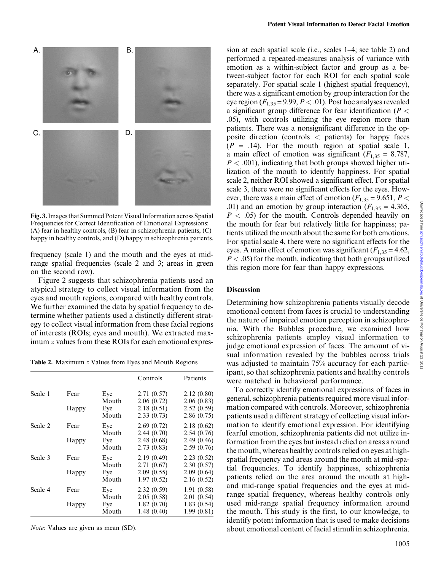

Fig. 3. Images that Summed Potent Visual Information across Spatial Frequencies for Correct Identification of Emotional Expressions: (A) fear in healthy controls, (B) fear in schizophrenia patients, (C) happy in healthy controls, and (D) happy in schizophrenia patients.

frequency (scale 1) and the mouth and the eyes at midrange spatial frequencies (scale 2 and 3; areas in green on the second row).

Figure 2 suggests that schizophrenia patients used an atypical strategy to collect visual information from the eyes and mouth regions, compared with healthy controls. We further examined the data by spatial frequency to determine whether patients used a distinctly different strategy to collect visual information from these facial regions of interests (ROIs; eyes and mouth). We extracted maximum z values from these ROIs for each emotional expres-

Table 2. Maximum z Values from Eyes and Mouth Regions

|         |       |              | Controls                 | Patients                  |
|---------|-------|--------------|--------------------------|---------------------------|
| Scale 1 | Fear  | Eve<br>Mouth | 2.71(0.57)<br>2.06(0.72) | 2.12(0.80)<br>2.06(0.83)  |
|         | Happy | Eye<br>Mouth | 2.18(0.51)<br>2.33(0.73) | 2.52(0.59)<br>2.86(0.75)  |
| Scale 2 | Fear  | Eye<br>Mouth | 2.69(0.72)<br>2.44(0.70) | 2.18(0.62)<br>2.54(0.76)  |
|         | Happy | Eye<br>Mouth | 2.48(0.68)<br>2.73(0.83) | 2.49(0.46)<br>2.59(0.76)  |
| Scale 3 | Fear  | Eye<br>Mouth | 2.19(0.49)<br>2.71(0.67) | 2.23(0.52)<br>2.30(0.57)  |
|         | Happy | Eye<br>Mouth | 2.09(0.55)<br>1.97(0.52) | 2.09(0.64)<br>2.16(0.52)  |
| Scale 4 | Fear  | Eye<br>Mouth | 2.32(0.59)<br>2.05(0.58) | 1.91 (0.58)<br>2.01(0.54) |
|         | Happy | Eye<br>Mouth | 1.82(0.70)<br>1.48(0.40) | 1.83(0.54)<br>1.99(0.81)  |

Note: Values are given as mean (SD).

sion at each spatial scale (i.e., scales 1–4; see table 2) and performed a repeated-measures analysis of variance with emotion as a within-subject factor and group as a between-subject factor for each ROI for each spatial scale separately. For spatial scale 1 (highest spatial frequency), there was a significant emotion by group interaction for the eye region  $(F_{1,35} = 9.99, P < .01)$ . Post hoc analyses revealed a significant group difference for fear identification ( $P <$ .05), with controls utilizing the eye region more than patients. There was a nonsignificant difference in the opposite direction (controls < patients) for happy faces  $(P = .14)$ . For the mouth region at spatial scale 1, a main effect of emotion was significant  $(F_{1,35} = 8.787,$  $P < .001$ ), indicating that both groups showed higher utilization of the mouth to identify happiness. For spatial scale 2, neither ROI showed a significant effect. For spatial scale 3, there were no significant effects for the eyes. However, there was a main effect of emotion ( $F_{1,35} = 9.651$ ,  $P <$ .01) and an emotion by group interaction ( $F_{1,35} = 4.365$ ,  $P < .05$ ) for the mouth. Controls depended heavily on the mouth for fear but relatively little for happiness; patients utilized the mouth about the same for both emotions. For spatial scale 4, there were no significant effects for the eyes. A main effect of emotion was significant  $(F_{1,35} = 4.62)$ ,  $P < .05$ ) for the mouth, indicating that both groups utilized this region more for fear than happy expressions.

### **Discussion**

Determining how schizophrenia patients visually decode emotional content from faces is crucial to understanding the nature of impaired emotion perception in schizophrenia. With the Bubbles procedure, we examined how schizophrenia patients employ visual information to judge emotional expression of faces. The amount of visual information revealed by the bubbles across trials was adjusted to maintain 75% accuracy for each participant, so that schizophrenia patients and healthy controls were matched in behavioral performance.

To correctly identify emotional expressions of faces in general, schizophrenia patients required more visual information compared with controls. Moreover, schizophrenia patients used a different strategy of collecting visual information to identify emotional expression. For identifying fearful emotion, schizophrenia patients did not utilize information from the eyes but instead relied on areas around the mouth, whereas healthy controls relied on eyes at highspatial frequency and areas around the mouth at mid-spatial frequencies. To identify happiness, schizophrenia patients relied on the area around the mouth at highand mid-range spatial frequencies and the eyes at midrange spatial frequency, whereas healthy controls only used mid-range spatial frequency information around the mouth. This study is the first, to our knowledge, to identify potent information that is used to make decisions about emotional content of facial stimuli in schizophrenia.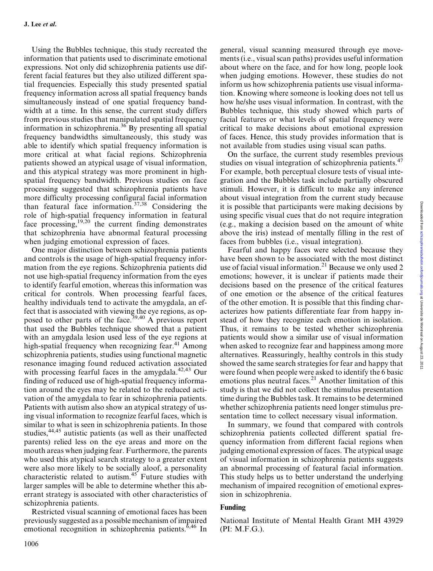Using the Bubbles technique, this study recreated the information that patients used to discriminate emotional expressions. Not only did schizophrenia patients use different facial features but they also utilized different spatial frequencies. Especially this study presented spatial frequency information across all spatial frequency bands simultaneously instead of one spatial frequency bandwidth at a time. In this sense, the current study differs from previous studies that manipulated spatial frequency information in schizophrenia.36 By presenting all spatial frequency bandwidths simultaneously, this study was able to identify which spatial frequency information is more critical at what facial regions. Schizophrenia patients showed an atypical usage of visual information, and this atypical strategy was more prominent in highspatial frequency bandwidth. Previous studies on face processing suggested that schizophrenia patients have more difficulty processing configural facial information than featural face information.<sup>37,38</sup> Considering the role of high-spatial frequency information in featural face processing, $19,20$  the current finding demonstrates that schizophrenia have abnormal featural processing when judging emotional expression of faces.

One major distinction between schizophrenia patients and controls is the usage of high-spatial frequency information from the eye regions. Schizophrenia patients did not use high-spatial frequency information from the eyes to identify fearful emotion, whereas this information was critical for controls. When processing fearful faces, healthy individuals tend to activate the amygdala, an effect that is associated with viewing the eye regions, as opposed to other parts of the face.<sup>39,40</sup> A previous report that used the Bubbles technique showed that a patient with an amygdala lesion used less of the eye regions at high-spatial frequency when recognizing fear.<sup>41</sup> Among schizophrenia patients, studies using functional magnetic resonance imaging found reduced activation associated with processing fearful faces in the amygdala. $42,43$  Our finding of reduced use of high-spatial frequency information around the eyes may be related to the reduced activation of the amygdala to fear in schizophrenia patients. Patients with autism also show an atypical strategy of using visual information to recognize fearful faces, which is similar to what is seen in schizophrenia patients. In those studies, <sup>44,45</sup> autistic patients (as well as their unaffected parents) relied less on the eye areas and more on the mouth areas when judging fear. Furthermore, the parents who used this atypical search strategy to a greater extent were also more likely to be socially aloof, a personality characteristic related to autism.<sup>45</sup> Future studies with larger samples will be able to determine whether this aberrant strategy is associated with other characteristics of schizophrenia patients.

Restricted visual scanning of emotional faces has been previously suggested as a possible mechanism of impaired emotional recognition in schizophrenia patients. $6,46$  In

general, visual scanning measured through eye movements (i.e., visual scan paths) provides useful information about where on the face, and for how long, people look when judging emotions. However, these studies do not inform us how schizophrenia patients use visual information. Knowing where someone is looking does not tell us how he/she uses visual information. In contrast, with the Bubbles technique, this study showed which parts of facial features or what levels of spatial frequency were critical to make decisions about emotional expression of faces. Hence, this study provides information that is not available from studies using visual scan paths.

On the surface, the current study resembles previous studies on visual integration of schizophrenia patients.<sup>47</sup> For example, both perceptual closure tests of visual integration and the Bubbles task include partially obscured stimuli. However, it is difficult to make any inference about visual integration from the current study because it is possible that participants were making decisions by using specific visual cues that do not require integration (e.g., making a decision based on the amount of white above the iris) instead of mentally filling in the rest of faces from bubbles (i.e., visual integration).

Fearful and happy faces were selected because they have been shown to be associated with the most distinct use of facial visual information.<sup>21</sup> Because we only used 2 emotions; however, it is unclear if patients made their decisions based on the presence of the critical features of one emotion or the absence of the critical features of the other emotion. It is possible that this finding characterizes how patients differentiate fear from happy instead of how they recognize each emotion in isolation. Thus, it remains to be tested whether schizophrenia patients would show a similar use of visual information when asked to recognize fear and happiness among more alternatives. Reassuringly, healthy controls in this study showed the same search strategies for fear and happy that were found when people were asked to identify the 6 basic emotions plus neutral faces.<sup>21</sup> Another limitation of this study is that we did not collect the stimulus presentation time during the Bubbles task. It remains to be determined whether schizophrenia patients need longer stimulus presentation time to collect necessary visual information.

In summary, we found that compared with controls schizophrenia patients collected different spatial frequency information from different facial regions when judging emotional expression of faces. The atypical usage of visual information in schizophrenia patients suggests an abnormal processing of featural facial information. This study helps us to better understand the underlying mechanism of impaired recognition of emotional expression in schizophrenia.

## Funding

National Institute of Mental Health Grant MH 43929 (PI: M.F.G.).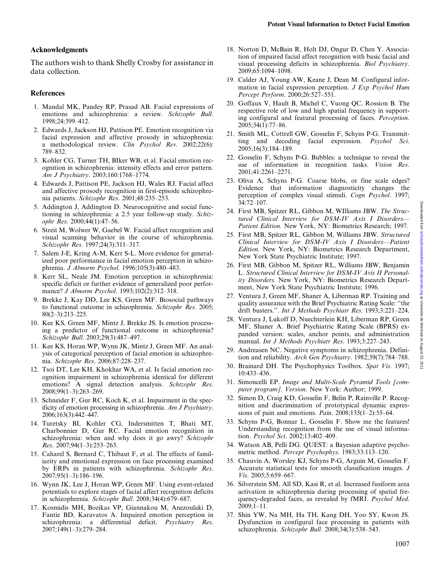## Acknowledgments

The authors wish to thank Shelly Crosby for assistance in data collection.

# References

- 1. Mandal MK, Pandey RP, Prasad AB. Facial expressions of emotions and schizophrenia: a review. Schizophr Bull. 1998;24:399–412.
- 2. Edwards J, Jackson HJ, Pattison PE. Emotion recognition via facial expression and affective prosody in schizophrenia: a methodological review. Clin Psychol Rev. 2002;22(6): 789–832.
- 3. Kohler CG, Turner TH, BIker WB, et al. Facial emotion recognition in schizophrenia: intensity effects and error pattern. Am J Psychiatry. 2003;160:1768–1774.
- 4. Edwards J, Pattison PE, Jackson HJ, Wales RJ. Facial affect and affective prosody recognition in first-episode schizophrenia patients. Schizophr Res. 2001;48:235–253.
- 5. Addington J, Addington D. Neurocognitive and social functioning in schizophrenia: a 2.5 year follow-up study. Schizophr Res. 2000;44(1):47–56.
- 6. Streit M, Wolwer W, Gaebel W. Facial affect recognition and visual scanning behavior in the course of schizophrenia. Schizophr Res. 1997;24(3):311–317.
- 7. Salem J-E, Kring A-M, Kerr S-L. More evidence for generalized poor performance in facial emotion perception in schizophrenia. J Abnorm Psychol. 1996;105(3):480–483.
- 8. Kerr SL, Neale JM. Emotion perception in schizophrenia: specific deficit or further evidence of generalized poor performance? J Abnorm Psychol. 1993;102(2):312–318.
- 9. Brekke J, Kay DD, Lee KS, Green MF. Biosocial pathways to functional outcome in schizophrenia. Schizophr Res. 2005; 80(2–3):213–225.
- 10. Kee KS, Green MF, Mintz J, Brekke JS. Is emotion processing a predictor of functional outcome in schizophrenia? Schizophr Bull. 2003;29(3):487–497.
- 11. Kee KS, Horan WP, Wynn JK, Mintz J, Green MF. An analysis of categorical perception of facial emotion in schizophrenia. Schizophr Res. 2006;87:228–237.
- 12. Tsoi DT, Lee KH, Khokhar WA, et al. Is facial emotion recognition impairment in schizophrenia identical for different emotions? A signal detection analysis. Schizophr Res. 2008;99(1–3):263–269.
- 13. Schneider F, Gur RC, Koch K, et al. Impairment in the specificity of emotion processing in schizophrenia. Am J Psychiatry. 2006;163(3):442–447.
- 14. Turetsky BI, Kohler CG, Indersmitten T, Bhati MT, Charbonnier D, Gur RC. Facial emotion recognition in schizophrenia: when and why does it go awry? Schizophr Res. 2007;94(1–3):253–263.
- 15. Caharel S, Bernard C, Thibaut F, et al. The effects of familiarity and emotional expression on face processing examined by ERPs in patients with schizophrenia. Schizophr Res. 2007;95(1–3):186–196.
- 16. Wynn JK, Lee J, Horan WP, Green MF. Using event-related potentials to explore stages of facial affect recognition deficits in schizophrenia. Schizophr Bull. 2008;34(4):679–687.
- 17. Kosmidis MH, Bozikas VP, Giannakou M, Anezoulaki D, Fantie BD, Karavatos A. Impaired emotion perception in schizophrenia: a differential deficit. Psychiatry Res. 2007;149(1–3):279–284.
- 18. Norton D, McBain R, Holt DJ, Ongur D, Chen Y. Association of impaired facial affect recognition with basic facial and visual processing deficits in schizophrenia. Biol Psychiatry. 2009;65:1094–1098.
- 19. Calder AJ, Young AW, Keane J, Dean M. Configural information in facial expression perception. J Exp Psychol Hum Percept Perform. 2000;26:527–551.
- 20. Goffaux V, Hault B, Michel C, Vuong QC, Rossion B. The respective role of low and high spatial frequency in supporting configural and featural processing of faces. Perception. 2005;34(1):77–86.
- 21. Smith ML, Cottrell GW, Gosselin F, Schyns P-G. Transmitting and decoding facial expression. Psychol Sci. 2005;16(3):184–189.
- 22. Gosselin F, Schyns P-G. Bubbles: a technique to reveal the use of information in recognition tasks. Vision Res. 2001;41:2261–2271.
- 23. Oliva A, Schyns P-G. Coarse blobs, or fine scale edges? Evidence that information diagnosticity changes the perception of complex visual stimuli. Cogn Psychol. 1997; 34:72–107.
- 24. First MB, Spitzer RL, Gibbon M, WIlliams JBW. The Structured Clinical Interview for DSM-IV Axis I Disorders— Patient Edition. New York, NY: Biometrics Research; 1997.
- 25. First MB, Spitzer RL, Gibbon M, Williams JBW. Structured Clinical Interview for DSM-IV Axis I Disorders—Patient Edition. New York, NY: Biometrics Research Department, New York State Psychiatric Institute; 1997.
- 26. First MB, Gibbon M, Spitzer RL, Williams JBW, Benjamin L. Structured Clinical Interview for DSM-IV Avis II Personality Disorders. New York, NY: Biometrics Research Department, New York State Psychiatric Institute; 1996.
- 27. Ventura J, Green MF, Shaner A, Liberman RP. Training and quality assurance with the Brief Psychiatric Rating Scale: ''the drift busters.''. Int J Methods Psychiatr Res. 1993;3:221–224.
- 28. Ventura J, Lukoff D, Nuechterlein KH, Liberman RP, Green MF, Shaner A. Brief Psychiatric Rating Scale (BPRS) expanded version: scales, anchor points, and administration manual. Int J Methods Psychiatr Res. 1993;3:227–243.
- 29. Andreasen NC. Negative symptoms in schizophrenia. Definition and reliability. Arch Gen Psychiatry. 1982;39(7):784–788.
- 30. Brainard DH. The Psychophysics Toolbox. Spat Vis. 1997; 10:433–436.
- 31. Simoncelli EP. Image and Multi-Scale Pyramid Tools [computer program]. Version. New York: Author; 1999.
- 32. Simon D, Craig KD, Gosselin F, Belin P, Rainville P. Recognition and discrimination of prototypical dynamic expressions of pain and emotions. Pain. 2008;135(1–2):55–64.
- 33. Schyns P-G, Bonnar L, Gosselin F. Show me the features! Understanding recognition from the use of visual information. Psychol Sci. 2002;13:402–409.
- 34. Watson AB, Pelli DG. QUEST: a Bayesian adaptive psychometric method. Percept Psychophys. 1983;33:113–120.
- 35. Chauvin A, Worsley KJ, Schyns P-G, Arguin M, Gosselin F. Accurate statistical tests for smooth classification images. J Vis. 2005;5:659–667.
- 36. Silverstein SM, All SD, Kasi R, et al. Increased fusiform area activation in schizophrenia during processing of spatial frequency-degraded faces, as revealed by fMRI. Psychol Med. 2009;1–11.
- 37. Shin YW, Na MH, Ha TH, Kang DH, Yoo SY, Kwon JS. Dysfunction in configural face processing in patients with schizophrenia. Schizophr Bull. 2008;34(3):538–543.